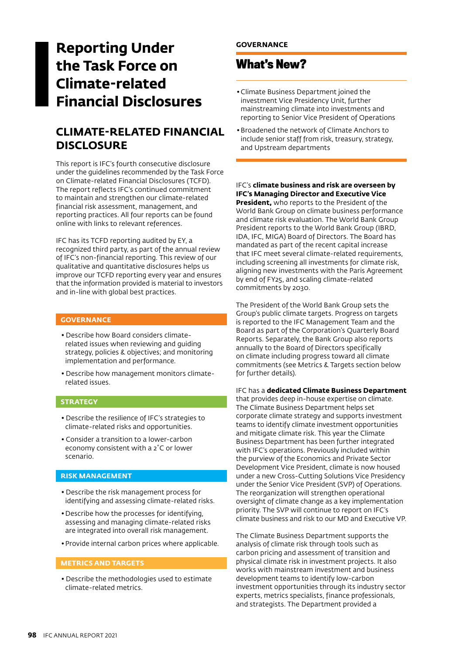# **Reporting Under the Task Force on Climate-related Financial Disclosures**

# **CLIMATE-RELATED FINANCIAL DISCLOSURE**

This report is IFC's fourth consecutive disclosure under the guidelines recommended by the Task Force on Climate-related Financial Disclosures (TCFD). The report reflects IFC's continued commitment to maintain and strengthen our climate-related financial risk assessment, management, and reporting practices. All four reports can be found online with links to relevant references.

IFC has its TCFD reporting audited by EY, a recognized third party, as part of the annual review of IFC's non-financial reporting. This review of our qualitative and quantitative disclosures helps us improve our TCFD reporting every year and ensures that the information provided is material to investors and in-line with global best practices.

### **GOVERNANCE**

- Describe how Board considers climaterelated issues when reviewing and guiding strategy, policies & objectives; and monitoring implementation and performance.
- Describe how management monitors climaterelated issues.

### **STRATEGY**

- Describe the resilience of IFC's strategies to climate-related risks and opportunities.
- Consider a transition to a lower-carbon economy consistent with a 2˚C or lower scenario.

### **RISK MANAGEMENT**

- Describe the risk management process for identifying and assessing climate-related risks.
- Describe how the processes for identifying, assessing and managing climate-related risks are integrated into overall risk management.
- Provide internal carbon prices where applicable.

### **METRICS AND TARGETS**

• Describe the methodologies used to estimate climate-related metrics.

### **GOVERNANCE**

## **What's New?**

- Climate Business Department joined the investment Vice Presidency Unit, further mainstreaming climate into investments and reporting to Senior Vice President of Operations
- Broadened the network of Climate Anchors to include senior staff from risk, treasury, strategy, and Upstream departments

### IFC's **climate business and risk are overseen by IFC's Managing Director and Executive Vice**

**President,** who reports to the President of the World Bank Group on climate business performance and climate risk evaluation. The World Bank Group President reports to the World Bank Group (IBRD, IDA, IFC, MIGA) Board of Directors. The Board has mandated as part of the recent capital increase that IFC meet several climate-related requirements, including screening all investments for climate risk, aligning new investments with the Paris Agreement by end of FY25, and scaling climate-related commitments by 2030.

The President of the World Bank Group sets the Group's public climate targets. Progress on targets is reported to the IFC Management Team and the Board as part of the Corporation's Quarterly Board Reports. Separately, the Bank Group also reports annually to the Board of Directors specifically on climate including progress toward all climate commitments (see Metrics & Targets section below for further details).

IFC has a **dedicated Climate Business Department** that provides deep in-house expertise on climate. The Climate Business Department helps set corporate climate strategy and supports investment teams to identify climate investment opportunities and mitigate climate risk. This year the Climate Business Department has been further integrated with IFC's operations. Previously included within the purview of the Economics and Private Sector Development Vice President, climate is now housed under a new Cross-Cutting Solutions Vice Presidency under the Senior Vice President (SVP) of Operations. The reorganization will strengthen operational oversight of climate change as a key implementation priority. The SVP will continue to report on IFC's climate business and risk to our MD and Executive VP.

The Climate Business Department supports the analysis of climate risk through tools such as carbon pricing and assessment of transition and physical climate risk in investment projects. It also works with mainstream investment and business development teams to identify low-carbon investment opportunities through its industry sector experts, metrics specialists, finance professionals, and strategists. The Department provided a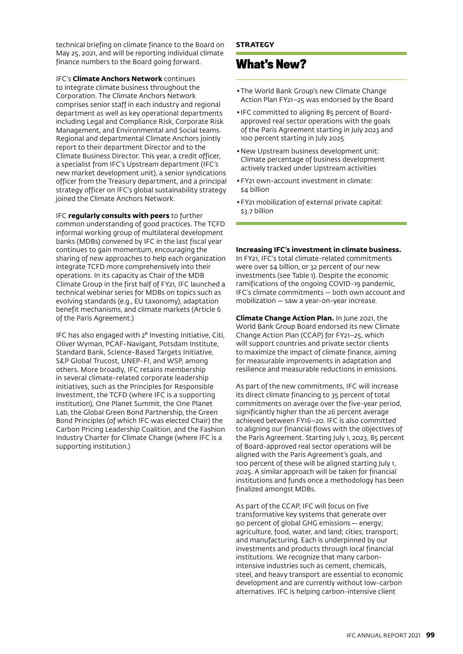technical briefing on climate finance to the Board on May 25, 2021, and will be reporting individual climate finance numbers to the Board going forward.

IFC's **Climate Anchors Network** continues to integrate climate business throughout the Corporation. The Climate Anchors Network comprises senior staff in each industry and regional department as well as key operational departments including Legal and Compliance Risk, Corporate Risk Management, and Environmental and Social teams. Regional and departmental Climate Anchors jointly report to their department Director and to the Climate Business Director. This year, a credit officer, a specialist from IFC's Upstream department (IFC's new market development unit), a senior syndications officer from the Treasury department, and a principal strategy officer on IFC's global sustainability strategy joined the Climate Anchors Network.

IFC **regularly consults with peers** to further common understanding of good practices. The TCFD informal working group of multilateral development banks (MDBs) convened by IFC in the last fiscal year continues to gain momentum, encouraging the sharing of new approaches to help each organization integrate TCFD more comprehensively into their operations. In its capacity as Chair of the MDB Climate Group in the first half of FY21, IFC launched a technical webinar series for MDBs on topics such as evolving standards (e.g., EU taxonomy), adaptation benefit mechanisms, and climate markets (Article 6 of the Paris Agreement.)

IFC has also engaged with 2<sup>°</sup> Investing Initiative, Citi, Oliver Wyman, PCAF-Navigant, Potsdam Institute, Standard Bank, Science-Based Targets Initiative, S&P Global Trucost, UNEP-FI, and WSP, among others. More broadly, IFC retains membership in several climate-related corporate leadership initiatives, such as the Principles for Responsible Investment, the TCFD (where IFC is a supporting institution), One Planet Summit, the One Planet Lab, the Global Green Bond Partnership, the Green Bond Principles (of which IFC was elected Chair) the Carbon Pricing Leadership Coalition, and the Fashion Industry Charter for Climate Change (where IFC is a supporting institution.)

### **STRATEGY**

# **What's New?**

- The World Bank Group's new Climate Change Action Plan FY21–25 was endorsed by the Board
- •IFC committed to aligning 85 percent of Boardapproved real sector operations with the goals of the Paris Agreement starting in July 2023 and 100 percent starting in July 2025
- New Upstream business development unit: Climate percentage of business development actively tracked under Upstream activities
- FY21 own-account investment in climate: \$4 billion
- FY21 mobilization of external private capital: \$3.7 billion

### **Increasing IFC's investment in climate business.**

In FY21, IFC's total climate-related commitments were over \$4 billion, or 32 percent of our new investments (see Table 1). Despite the economic ramifications of the ongoing COVID-19 pandemic, IFC's climate commitments — both own account and mobilization — saw a year-on-year increase.

**Climate Change Action Plan.** In June 2021, the World Bank Group Board endorsed its new Climate Change Action Plan (CCAP) for FY21–25, which will support countries and private sector clients to maximize the impact of climate finance, aiming for measurable improvements in adaptation and resilience and measurable reductions in emissions.

As part of the new commitments, IFC will increase its direct climate financing to 35 percent of total commitments on average over the five-year period, significantly higher than the 26 percent average achieved between FY16–20. IFC is also committed to aligning our financial flows with the objectives of the Paris Agreement. Starting July 1, 2023, 85 percent of Board-approved real sector operations will be aligned with the Paris Agreement's goals, and 100 percent of these will be aligned starting July 1, 2025. A similar approach will be taken for financial institutions and funds once a methodology has been finalized amongst MDBs.

As part of the CCAP, IFC will focus on five transformative key systems that generate over 90 percent of global GHG emissions — energy; agriculture, food, water, and land; cities; transport; and manufacturing. Each is underpinned by our investments and products through local financial institutions. We recognize that many carbonintensive industries such as cement, chemicals, steel, and heavy transport are essential to economic development and are currently without low-carbon alternatives. IFC is helping carbon-intensive client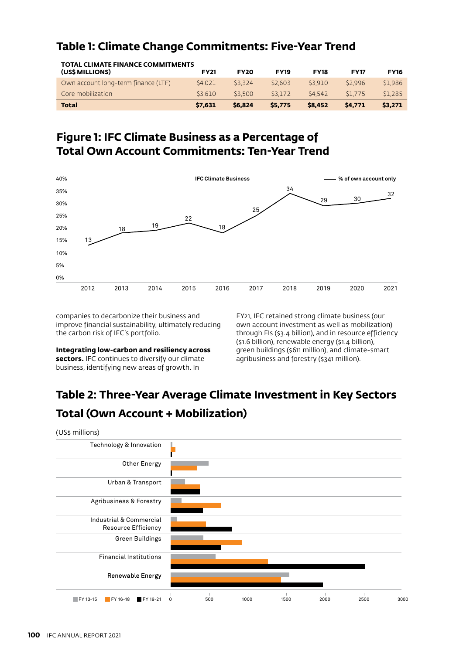| Table 1: Climate Change Commitments: Five-Year Trend |  |
|------------------------------------------------------|--|
|------------------------------------------------------|--|

| <b>TOTAL CLIMATE FINANCE COMMITMENTS</b><br>(US\$ MILLIONS) | <b>FY21</b> | <b>FY20</b> | <b>FY19</b> | <b>FY18</b> | <b>FY17</b> | <b>FY16</b> |
|-------------------------------------------------------------|-------------|-------------|-------------|-------------|-------------|-------------|
| Own account long-term finance (LTF)                         | \$4,021     | \$3.324     | \$2,603     | \$3.910     | \$2.996     | \$1.986     |
| Core mobilization                                           | \$3.610     | \$3.500     | \$3.172     | \$4,542     | \$1.775     | \$1.285     |
| <b>Total</b>                                                | \$7.631     | \$6.824     | \$5.775     | \$8,452     | \$4,771     | \$3.271     |

# **Figure 1: IFC Climate Business as a Percentage of Total Own Account Commitments: Ten-Year Trend**



companies to decarbonize their business and improve financial sustainability, ultimately reducing the carbon risk of IFC's portfolio.

**Integrating low-carbon and resiliency across sectors.** IFC continues to diversify our climate business, identifying new areas of growth. In

FY21, IFC retained strong climate business (our own account investment as well as mobilization) through FIs (\$3.4 billion), and in resource efficiency (\$1.6 billion), renewable energy (\$1.4 billion), green buildings (\$611 million), and climate-smart agribusiness and forestry (\$341 million).

# **Table 2: Three-Year Average Climate Investment in Key Sectors Total (Own Account + Mobilization)**

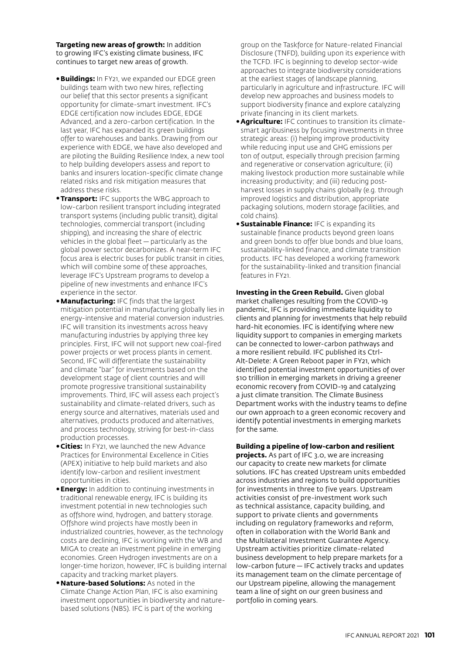**Targeting new areas of growth:** In addition to growing IFC's existing climate business, IFC continues to target new areas of growth.

- •**Buildings:** In FY21, we expanded our EDGE green buildings team with two new hires, reflecting our belief that this sector presents a significant opportunity for climate-smart investment. IFC's EDGE certification now includes EDGE, EDGE Advanced, and a zero-carbon certification. In the last year, IFC has expanded its green buildings offer to warehouses and banks. Drawing from our experience with EDGE, we have also developed and are piloting the Building Resilience Index, a new tool to help building developers assess and report to banks and insurers location-specific climate change related risks and risk mitigation measures that address these risks.
- •**Transport:** IFC supports the WBG approach to low-carbon resilient transport including integrated transport systems (including public transit), digital technologies, commercial transport (including shipping), and increasing the share of electric vehicles in the global fleet — particularly as the global power sector decarbonizes. A near-term IFC focus area is electric buses for public transit in cities, which will combine some of these approaches, leverage IFC's Upstream programs to develop a pipeline of new investments and enhance IFC's experience in the sector.
- •**Manufacturing:** IFC finds that the largest mitigation potential in manufacturing globally lies in energy-intensive and material conversion industries. IFC will transition its investments across heavy manufacturing industries by applying three key principles. First, IFC will not support new coal-fired power projects or wet process plants in cement. Second, IFC will differentiate the sustainability and climate "bar" for investments based on the development stage of client countries and will promote progressive transitional sustainability improvements. Third, IFC will assess each project's sustainability and climate-related drivers, such as energy source and alternatives, materials used and alternatives, products produced and alternatives, and process technology, striving for best-in-class production processes.
- •**Cities:** In FY21, we launched the new Advance Practices for Environmental Excellence in Cities (APEX) initiative to help build markets and also identify low-carbon and resilient investment opportunities in cities.
- •**Energy:** In addition to continuing investments in traditional renewable energy, IFC is building its investment potential in new technologies such as offshore wind, hydrogen, and battery storage. Offshore wind projects have mostly been in industrialized countries, however, as the technology costs are declining, IFC is working with the WB and MIGA to create an investment pipeline in emerging economies. Green Hydrogen investments are on a longer-time horizon, however, IFC is building internal capacity and tracking market players.
- •**Nature-based Solutions:** As noted in the Climate Change Action Plan, IFC is also examining investment opportunities in biodiversity and naturebased solutions (NBS). IFC is part of the working

group on the Taskforce for Nature-related Financial Disclosure (TNFD), building upon its experience with the TCFD. IFC is beginning to develop sector-wide approaches to integrate biodiversity considerations at the earliest stages of landscape planning, particularly in agriculture and infrastructure. IFC will develop new approaches and business models to support biodiversity finance and explore catalyzing private financing in its client markets.

- •**Agriculture:** IFC continues to transition its climatesmart agribusiness by focusing investments in three strategic areas: (i) helping improve productivity while reducing input use and GHG emissions per ton of output, especially through precision farming and regenerative or conservation agriculture; (ii) making livestock production more sustainable while increasing productivity; and (iii) reducing postharvest losses in supply chains globally (e.g. through improved logistics and distribution, appropriate packaging solutions, modern storage facilities, and cold chains).
- **Sustainable Finance: IFC is expanding its** sustainable finance products beyond green loans and green bonds to offer blue bonds and blue loans, sustainability-linked finance, and climate transition products. IFC has developed a working framework for the sustainability-linked and transition financial features in FY21.

**Investing in the Green Rebuild.** Given global market challenges resulting from the COVID-19 pandemic, IFC is providing immediate liquidity to clients and planning for investments that help rebuild hard-hit economies. IFC is identifying where new liquidity support to companies in emerging markets can be connected to lower-carbon pathways and a more resilient rebuild. IFC published its Ctrl-Alt-Delete: A Green Reboot paper in FY21, which identified potential investment opportunities of over \$10 trillion in emerging markets in driving a greener economic recovery from COVID-19 and catalyzing a just climate transition. The Climate Business Department works with the industry teams to define our own approach to a green economic recovery and identify potential investments in emerging markets for the same.

#### **Building a pipeline of low-carbon and resilient**

**projects.** As part of IFC 3.0, we are increasing our capacity to create new markets for climate solutions. IFC has created Upstream units embedded across industries and regions to build opportunities for investments in three to five years. Upstream activities consist of pre-investment work such as technical assistance, capacity building, and support to private clients and governments including on regulatory frameworks and reform, often in collaboration with the World Bank and the Multilateral Investment Guarantee Agency. Upstream activities prioritize climate-related business development to help prepare markets for a low-carbon future — IFC actively tracks and updates its management team on the climate percentage of our Upstream pipeline, allowing the management team a line of sight on our green business and portfolio in coming years.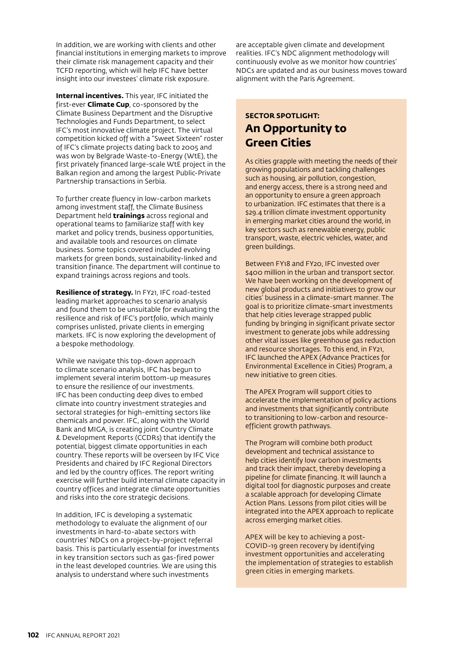In addition, we are working with clients and other financial institutions in emerging markets to improve their climate risk management capacity and their TCFD reporting, which will help IFC have better insight into our investees' climate risk exposure.

**Internal incentives.** This year, IFC initiated the first-ever **Climate Cup**, co-sponsored by the Climate Business Department and the Disruptive Technologies and Funds Department, to select IFC's most innovative climate project. The virtual competition kicked off with a "Sweet Sixteen" roster of IFC's climate projects dating back to 2005 and was won by Belgrade Waste-to-Energy (WtE), the first privately financed large-scale WtE project in the Balkan region and among the largest Public-Private Partnership transactions in Serbia.

To further create fluency in low-carbon markets among investment staff, the Climate Business Department held **trainings** across regional and operational teams to familiarize staff with key market and policy trends, business opportunities, and available tools and resources on climate business. Some topics covered included evolving markets for green bonds, sustainability-linked and transition finance. The department will continue to expand trainings across regions and tools.

**Resilience of strategy.** In FY21, IFC road-tested leading market approaches to scenario analysis and found them to be unsuitable for evaluating the resilience and risk of IFC's portfolio, which mainly comprises unlisted, private clients in emerging markets. IFC is now exploring the development of a bespoke methodology.

While we navigate this top-down approach to climate scenario analysis, IFC has begun to implement several interim bottom-up measures to ensure the resilience of our investments. IFC has been conducting deep dives to embed climate into country investment strategies and sectoral strategies for high-emitting sectors like chemicals and power. IFC, along with the World Bank and MIGA, is creating joint Country Climate & Development Reports (CCDRs) that identify the potential, biggest climate opportunities in each country. These reports will be overseen by IFC Vice Presidents and chaired by IFC Regional Directors and led by the country offices. The report writing exercise will further build internal climate capacity in country offices and integrate climate opportunities and risks into the core strategic decisions.

In addition, IFC is developing a systematic methodology to evaluate the alignment of our investments in hard-to-abate sectors with countries' NDCs on a project-by-project referral basis. This is particularly essential for investments in key transition sectors such as gas-fired power in the least developed countries. We are using this analysis to understand where such investments

are acceptable given climate and development realities. IFC's NDC alignment methodology will continuously evolve as we monitor how countries' NDCs are updated and as our business moves toward alignment with the Paris Agreement.

### **SECTOR SPOTLIGHT: An Opportunity to Green Cities**

As cities grapple with meeting the needs of their growing populations and tackling challenges such as housing, air pollution, congestion, and energy access, there is a strong need and an opportunity to ensure a green approach to urbanization. IFC estimates that there is a \$29.4 trillion climate investment opportunity in emerging market cities around the world, in key sectors such as renewable energy, public transport, waste, electric vehicles, water, and green buildings.

Between FY18 and FY20, IFC invested over \$400 million in the urban and transport sector. We have been working on the development of new global products and initiatives to grow our cities' business in a climate-smart manner. The goal is to prioritize climate-smart investments that help cities leverage strapped public funding by bringing in significant private sector investment to generate jobs while addressing other vital issues like greenhouse gas reduction and resource shortages. To this end, in FY21, IFC launched the APEX (Advance Practices for Environmental Excellence in Cities) Program, a new initiative to green cities.

The APEX Program will support cities to accelerate the implementation of policy actions and investments that significantly contribute to transitioning to low-carbon and resourceefficient growth pathways.

The Program will combine both product development and technical assistance to help cities identify low carbon investments and track their impact, thereby developing a pipeline for climate financing. It will launch a digital tool for diagnostic purposes and create a scalable approach for developing Climate Action Plans. Lessons from pilot cities will be integrated into the APEX approach to replicate across emerging market cities.

APEX will be key to achieving a post-COVID-19 green recovery by identifying investment opportunities and accelerating the implementation of strategies to establish green cities in emerging markets.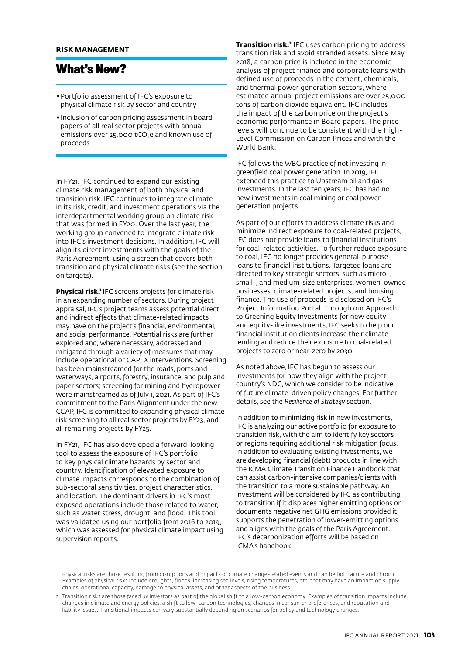# **What's New?**

- Portfolio assessment of IFC's exposure to physical climate risk by sector and country
- •Inclusion of carbon pricing assessment in board papers of all real sector projects with annual emissions over 25,000 tCO<sub>2</sub>e and known use of proceeds

In FY21, IFC continued to expand our existing climate risk management of both physical and transition risk. IFC continues to integrate climate in its risk, credit, and investment operations via the interdepartmental working group on climate risk that was formed in FY20. Over the last year, the working group convened to integrate climate risk into IFC's investment decisions. In addition, IFC will align its direct investments with the goals of the Paris Agreement, using a screen that covers both transition and physical climate risks (see the section on targets).

**Physical risk.** IFC screens projects for climate risk in an expanding number of sectors. During project appraisal, IFC's project teams assess potential direct and indirect effects that climate-related impacts may have on the project's financial, environmental, and social performance. Potential risks are further explored and, where necessary, addressed and mitigated through a variety of measures that may include operational or CAPEX interventions. Screening has been mainstreamed for the roads, ports and waterways, airports, forestry, insurance, and pulp and paper sectors; screening for mining and hydropower were mainstreamed as of July 1, 2021. As part of IFC's commitment to the Paris Alignment under the new CCAP, IFC is committed to expanding physical climate risk screening to all real sector projects by FY23, and all remaining projects by FY25.

In FY21, IFC has also developed a forward-looking tool to assess the exposure of IFC's portfolio to key physical climate hazards by sector and country. Identification of elevated exposure to climate impacts corresponds to the combination of sub-sectoral sensitivities, project characteristics, and location. The dominant drivers in IFC's most exposed operations include those related to water, such as water stress, drought, and flood. This tool was validated using our portfolio from 2016 to 2019, which was assessed for physical climate impact using supervision reports.

**Transition risk.²** IFC uses carbon pricing to address transition risk and avoid stranded assets. Since May 2018, a carbon price is included in the economic analysis of project finance and corporate loans with defined use of proceeds in the cement, chemicals, and thermal power generation sectors, where estimated annual project emissions are over 25,000 tons of carbon dioxide equivalent. IFC includes the impact of the carbon price on the project's economic performance in Board papers. The price levels will continue to be consistent with the High-Level Commission on Carbon Prices and with the World Bank.

IFC follows the WBG practice of not investing in greenfield coal power generation. In 2019, IFC extended this practice to Upstream oil and gas investments. In the last ten years, IFC has had no new investments in coal mining or coal power generation projects.

As part of our efforts to address climate risks and minimize indirect exposure to coal-related projects, IFC does not provide loans to financial institutions for coal-related activities. To further reduce exposure to coal, IFC no longer provides general-purpose loans to financial institutions. Targeted loans are directed to key strategic sectors, such as micro-, small-, and medium-size enterprises, women-owned businesses, climate-related projects, and housing finance. The use of proceeds is disclosed on IFC's Project Information Portal. Through our Approach to Greening Equity Investments for new equity and equity-like investments, IFC seeks to help our financial institution clients increase their climate lending and reduce their exposure to coal-related projects to zero or near-zero by 2030.

As noted above, IFC has begun to assess our investments for how they align with the project country's NDC, which we consider to be indicative of future climate-driven policy changes. For further details, see the *Resilience of Strategy* section.

In addition to minimizing risk in new investments, IFC is analyzing our active portfolio for exposure to transition risk, with the aim to identify key sectors or regions requiring additional risk mitigation focus. In addition to evaluating existing investments, we are developing financial (debt) products in line with the ICMA Climate Transition Finance Handbook that can assist carbon-intensive companies/clients with the transition to a more sustainable pathway. An investment will be considered by IFC as contributing to transition if it displaces higher emitting options or documents negative net GHG emissions provided it supports the penetration of lower-emitting options and aligns with the goals of the Paris Agreement. IFC's decarbonization efforts will be based on ICMA's handbook.

<sup>1.</sup> Physical risks are those resulting from disruptions and impacts of climate change-related events and can be both acute and chronic. Examples of physical risks include droughts, floods, increasing sea levels, rising temperatures, etc. that may have an impact on supply chains, operational capacity, damage to physical assets, and other aspects of the business.

<sup>2.</sup> Transition risks are those faced by investors as part of the global shift to a low-carbon economy. Examples of transition impacts include changes in climate and energy policies, a shift to low-carbon technologies, changes in consumer preferences, and reputation and liability issues. Transitional impacts can vary substantially depending on scenarios for policy and technology changes.